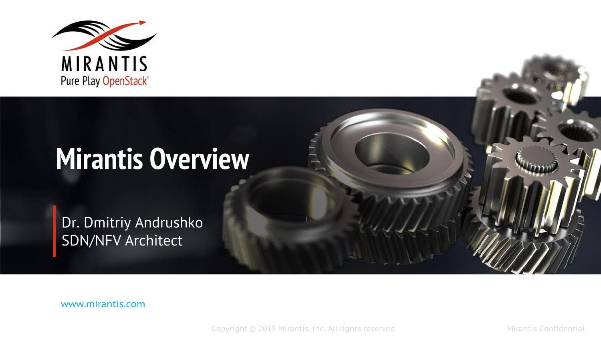

# **Mirantis Overview**

Dr. Dmitriy Andrushko SDN/NFV Architect

www.mirantis.com

Copyright © 2015 Mirantis, Inc. All rights reserved Microsoft Mirantis Confidential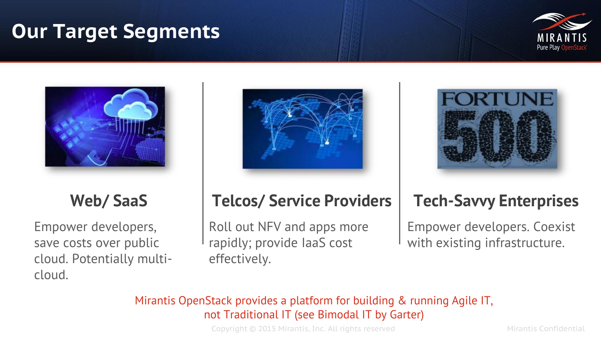#### **Our Target Segments**





#### **Web/ SaaS**

Empower developers, save costs over public cloud. Potentially multicloud.



# **Telcos/ Service Providers**

Roll out NFV and apps more rapidly; provide IaaS cost effectively.



#### **Tech-Savvy Enterprises**

Empower developers. Coexist with existing infrastructure.

#### Mirantis OpenStack provides a platform for building & running Agile IT, not Traditional IT (see Bimodal IT by Garter)

Copyright © 2015 Mirantis, Inc. All rights reserved Mirantis Confidential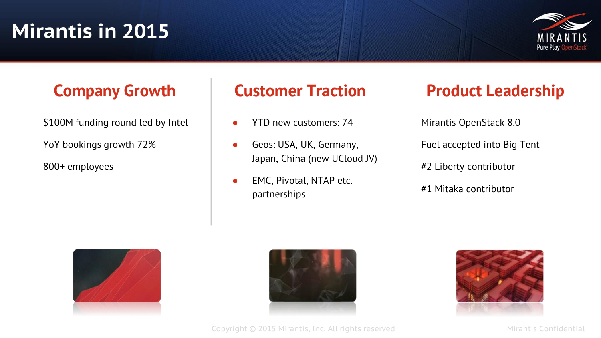### **Mirantis in 2015**



#### **Company Growth**

\$100M funding round led by Intel

YoY bookings growth 72%

800+ employees

- YTD new customers: 74
- Geos: USA, UK, Germany, Japan, China (new UCloud JV)
- EMC, Pivotal, NTAP etc. partnerships

#### **Customer Traction | Product Leadership**

Mirantis OpenStack 8.0 Fuel accepted into Big Tent #2 Liberty contributor #1 Mitaka contributor





Copyright © 2015 Mirantis, Inc. All rights reserved Microsoft Mirantis Confidential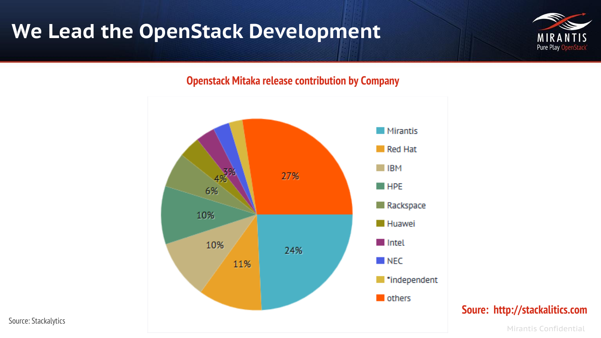### **We Lead the OpenStack Development**



#### **Openstack Mitaka release contribution by Company**



**Soure: http://stackalitics.com**

Source: Stackalytics

Mirantis Confidential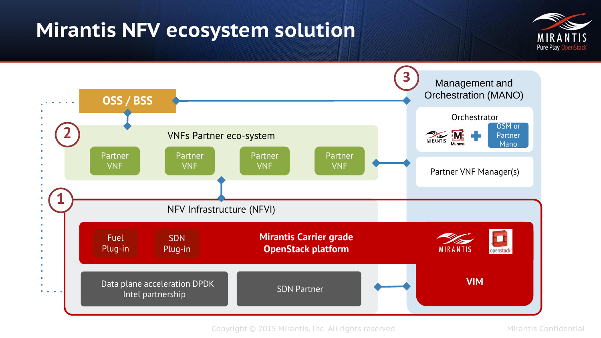#### **Mirantis NFV ecosystem solution**



![](_page_4_Figure_2.jpeg)

Copyright © 2015 Mirantis, Inc. All rights reserved Microsoft Mirantis Confidential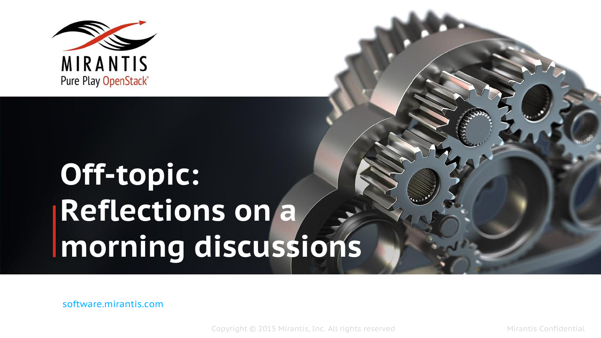![](_page_5_Picture_0.jpeg)

# **Off-topic: Reflections on a morning discussions**

software.mirantis.com

Copyright © 2015 Mirantis, Inc. All rights reserved Mirantis Confidential